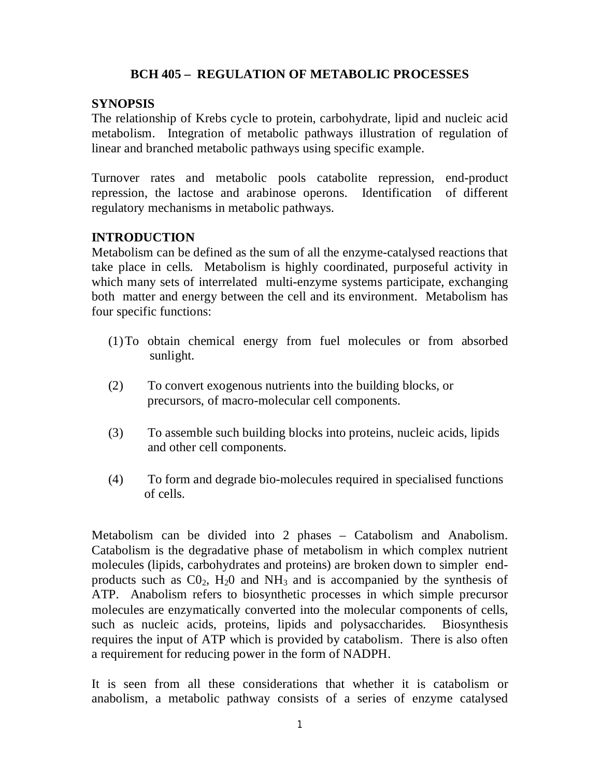# **BCH 405 – REGULATION OF METABOLIC PROCESSES**

## **SYNOPSIS**

The relationship of Krebs cycle to protein, carbohydrate, lipid and nucleic acid metabolism. Integration of metabolic pathways illustration of regulation of linear and branched metabolic pathways using specific example.

Turnover rates and metabolic pools catabolite repression, end-product repression, the lactose and arabinose operons. Identification of different regulatory mechanisms in metabolic pathways.

# **INTRODUCTION**

Metabolism can be defined as the sum of all the enzyme-catalysed reactions that take place in cells. Metabolism is highly coordinated, purposeful activity in which many sets of interrelated multi-enzyme systems participate, exchanging both matter and energy between the cell and its environment. Metabolism has four specific functions:

- (1)To obtain chemical energy from fuel molecules or from absorbed sunlight.
- (2) To convert exogenous nutrients into the building blocks, or precursors, of macro-molecular cell components.
- (3) To assemble such building blocks into proteins, nucleic acids, lipids and other cell components.
- (4) To form and degrade bio-molecules required in specialised functions of cells.

Metabolism can be divided into 2 phases – Catabolism and Anabolism. Catabolism is the degradative phase of metabolism in which complex nutrient molecules (lipids, carbohydrates and proteins) are broken down to simpler endproducts such as  $CO<sub>2</sub>$ , H<sub>2</sub>O and NH<sub>3</sub> and is accompanied by the synthesis of ATP. Anabolism refers to biosynthetic processes in which simple precursor molecules are enzymatically converted into the molecular components of cells, such as nucleic acids, proteins, lipids and polysaccharides. Biosynthesis requires the input of ATP which is provided by catabolism. There is also often a requirement for reducing power in the form of NADPH.

It is seen from all these considerations that whether it is catabolism or anabolism, a metabolic pathway consists of a series of enzyme catalysed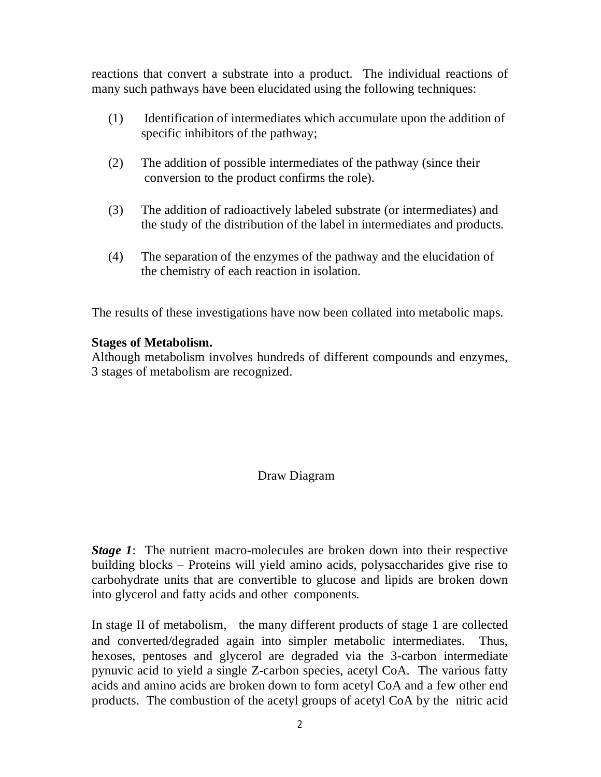reactions that convert a substrate into a product. The individual reactions of many such pathways have been elucidated using the following techniques:

- (1) Identification of intermediates which accumulate upon the addition of specific inhibitors of the pathway;
- (2) The addition of possible intermediates of the pathway (since their conversion to the product confirms the role).
- (3) The addition of radioactively labeled substrate (or intermediates) and the study of the distribution of the label in intermediates and products.
- (4) The separation of the enzymes of the pathway and the elucidation of the chemistry of each reaction in isolation.

The results of these investigations have now been collated into metabolic maps.

## **Stages of Metabolism.**

Although metabolism involves hundreds of different compounds and enzymes, 3 stages of metabolism are recognized.

# Draw Diagram

*Stage 1*: The nutrient macro-molecules are broken down into their respective building blocks – Proteins will yield amino acids, polysaccharides give rise to carbohydrate units that are convertible to glucose and lipids are broken down into glycerol and fatty acids and other components.

In stage II of metabolism, the many different products of stage 1 are collected and converted/degraded again into simpler metabolic intermediates. Thus, hexoses, pentoses and glycerol are degraded via the 3-carbon intermediate pynuvic acid to yield a single Z-carbon species, acetyl CoA. The various fatty acids and amino acids are broken down to form acetyl CoA and a few other end products. The combustion of the acetyl groups of acetyl CoA by the nitric acid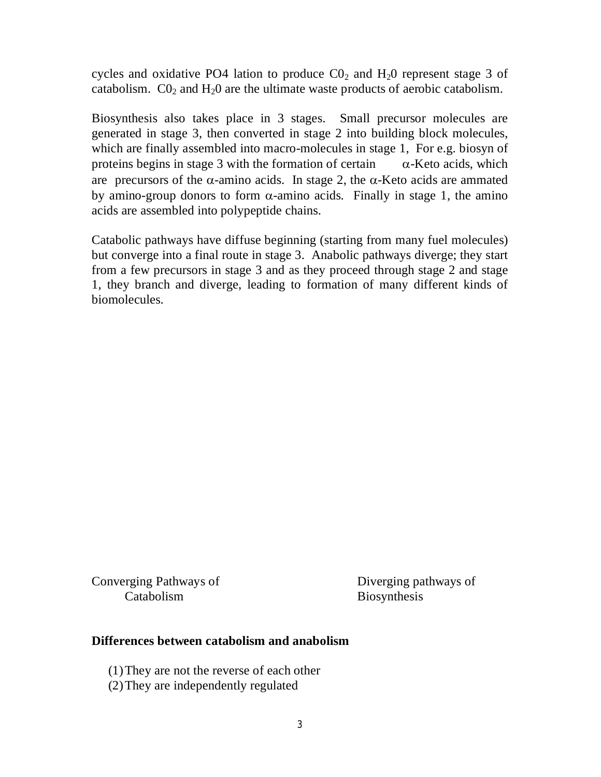cycles and oxidative PO4 lation to produce  $CO<sub>2</sub>$  and  $H<sub>2</sub>0$  represent stage 3 of catabolism.  $CO<sub>2</sub>$  and  $H<sub>2</sub>O$  are the ultimate waste products of aerobic catabolism.

Biosynthesis also takes place in 3 stages. Small precursor molecules are generated in stage 3, then converted in stage 2 into building block molecules, which are finally assembled into macro-molecules in stage 1, For e.g. biosyn of proteins begins in stage 3 with the formation of certain  $\alpha$ -Keto acids, which are precursors of the  $\alpha$ -amino acids. In stage 2, the  $\alpha$ -Keto acids are ammated by amino-group donors to form  $\alpha$ -amino acids. Finally in stage 1, the amino acids are assembled into polypeptide chains.

Catabolic pathways have diffuse beginning (starting from many fuel molecules) but converge into a final route in stage 3. Anabolic pathways diverge; they start from a few precursors in stage 3 and as they proceed through stage 2 and stage 1, they branch and diverge, leading to formation of many different kinds of biomolecules.

Converging Pathways of Diverging pathways of Catabolism Biosynthesis

### **Differences between catabolism and anabolism**

(1)They are not the reverse of each other

(2)They are independently regulated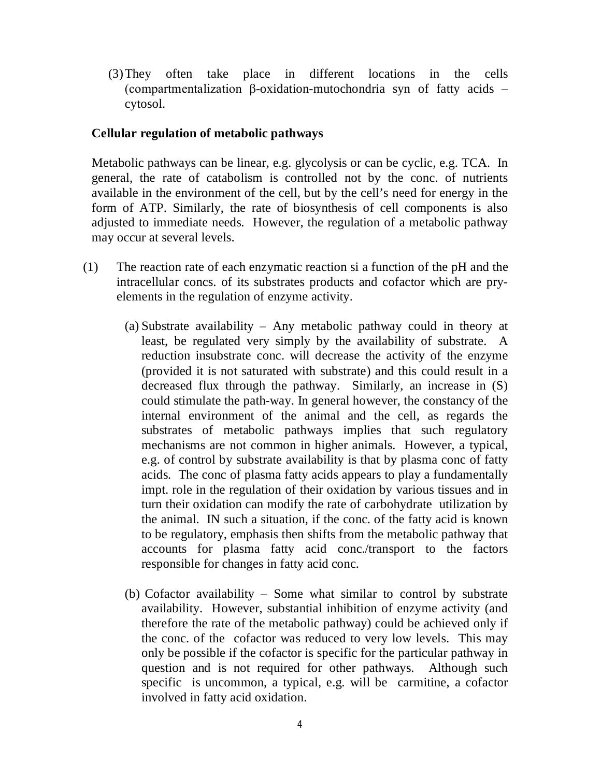(3)They often take place in different locations in the cells (compartmentalization β-oxidation-mutochondria syn of fatty acids – cytosol.

## **Cellular regulation of metabolic pathways**

Metabolic pathways can be linear, e.g. glycolysis or can be cyclic, e.g. TCA. In general, the rate of catabolism is controlled not by the conc. of nutrients available in the environment of the cell, but by the cell's need for energy in the form of ATP. Similarly, the rate of biosynthesis of cell components is also adjusted to immediate needs. However, the regulation of a metabolic pathway may occur at several levels.

- (1) The reaction rate of each enzymatic reaction si a function of the pH and the intracellular concs. of its substrates products and cofactor which are pryelements in the regulation of enzyme activity.
	- (a) Substrate availability Any metabolic pathway could in theory at least, be regulated very simply by the availability of substrate. A reduction insubstrate conc. will decrease the activity of the enzyme (provided it is not saturated with substrate) and this could result in a decreased flux through the pathway. Similarly, an increase in (S) could stimulate the path-way. In general however, the constancy of the internal environment of the animal and the cell, as regards the substrates of metabolic pathways implies that such regulatory mechanisms are not common in higher animals. However, a typical, e.g. of control by substrate availability is that by plasma conc of fatty acids. The conc of plasma fatty acids appears to play a fundamentally impt. role in the regulation of their oxidation by various tissues and in turn their oxidation can modify the rate of carbohydrate utilization by the animal. IN such a situation, if the conc. of the fatty acid is known to be regulatory, emphasis then shifts from the metabolic pathway that accounts for plasma fatty acid conc./transport to the factors responsible for changes in fatty acid conc.
	- (b) Cofactor availability Some what similar to control by substrate availability. However, substantial inhibition of enzyme activity (and therefore the rate of the metabolic pathway) could be achieved only if the conc. of the cofactor was reduced to very low levels. This may only be possible if the cofactor is specific for the particular pathway in question and is not required for other pathways. Although such specific is uncommon, a typical, e.g. will be carmitine, a cofactor involved in fatty acid oxidation.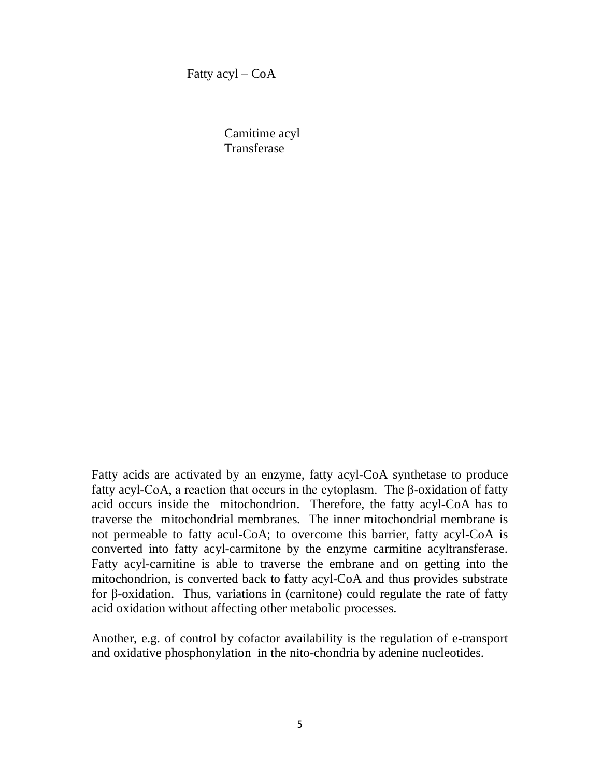Fatty  $acyl - CoA$ 

Camitime acyl **Transferase** 

Fatty acids are activated by an enzyme, fatty acyl-CoA synthetase to produce fatty acyl-CoA, a reaction that occurs in the cytoplasm. The β-oxidation of fatty acid occurs inside the mitochondrion. Therefore, the fatty acyl-CoA has to traverse the mitochondrial membranes. The inner mitochondrial membrane is not permeable to fatty acul-CoA; to overcome this barrier, fatty acyl-CoA is converted into fatty acyl-carmitone by the enzyme carmitine acyltransferase. Fatty acyl-carnitine is able to traverse the embrane and on getting into the mitochondrion, is converted back to fatty acyl-CoA and thus provides substrate for β-oxidation. Thus, variations in (carnitone) could regulate the rate of fatty acid oxidation without affecting other metabolic processes.

Another, e.g. of control by cofactor availability is the regulation of e-transport and oxidative phosphonylation in the nito-chondria by adenine nucleotides.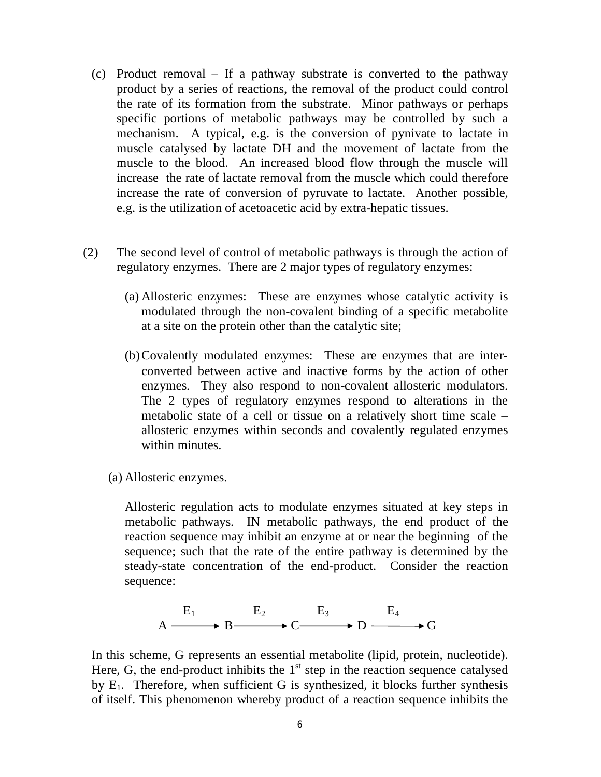- (c) Product removal If a pathway substrate is converted to the pathway product by a series of reactions, the removal of the product could control the rate of its formation from the substrate. Minor pathways or perhaps specific portions of metabolic pathways may be controlled by such a mechanism. A typical, e.g. is the conversion of pynivate to lactate in muscle catalysed by lactate DH and the movement of lactate from the muscle to the blood. An increased blood flow through the muscle will increase the rate of lactate removal from the muscle which could therefore increase the rate of conversion of pyruvate to lactate. Another possible, e.g. is the utilization of acetoacetic acid by extra-hepatic tissues.
- (2) The second level of control of metabolic pathways is through the action of regulatory enzymes. There are 2 major types of regulatory enzymes:
	- (a) Allosteric enzymes: These are enzymes whose catalytic activity is modulated through the non-covalent binding of a specific metabolite at a site on the protein other than the catalytic site;
	- (b)Covalently modulated enzymes: These are enzymes that are interconverted between active and inactive forms by the action of other enzymes. They also respond to non-covalent allosteric modulators. The 2 types of regulatory enzymes respond to alterations in the metabolic state of a cell or tissue on a relatively short time scale – allosteric enzymes within seconds and covalently regulated enzymes within minutes.
	- (a) Allosteric enzymes.

Allosteric regulation acts to modulate enzymes situated at key steps in metabolic pathways. IN metabolic pathways, the end product of the reaction sequence may inhibit an enzyme at or near the beginning of the sequence; such that the rate of the entire pathway is determined by the steady-state concentration of the end-product. Consider the reaction sequence:

$$
A \xrightarrow{E_1} B \xrightarrow{E_2} C \xrightarrow{E_3} D \xrightarrow{E_4} G
$$

In this scheme, G represents an essential metabolite (lipid, protein, nucleotide). Here, G, the end-product inhibits the  $1<sup>st</sup>$  step in the reaction sequence catalysed by  $E_1$ . Therefore, when sufficient G is synthesized, it blocks further synthesis of itself. This phenomenon whereby product of a reaction sequence inhibits the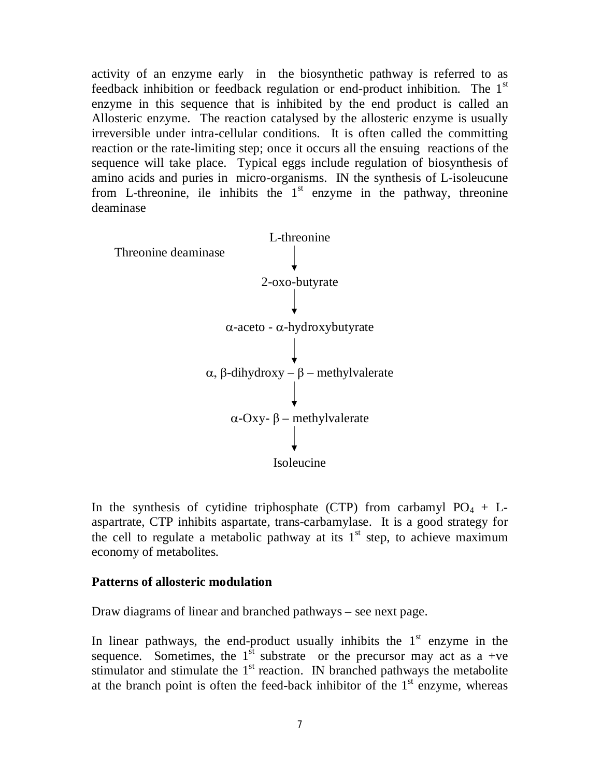activity of an enzyme early in the biosynthetic pathway is referred to as feedback inhibition or feedback regulation or end-product inhibition. The  $1<sup>st</sup>$ enzyme in this sequence that is inhibited by the end product is called an Allosteric enzyme. The reaction catalysed by the allosteric enzyme is usually irreversible under intra-cellular conditions. It is often called the committing reaction or the rate-limiting step; once it occurs all the ensuing reactions of the sequence will take place. Typical eggs include regulation of biosynthesis of amino acids and puries in micro-organisms. IN the synthesis of L-isoleucune from L-threonine, ile inhibits the  $1<sup>st</sup>$  enzyme in the pathway, threonine deaminase



In the synthesis of cytidine triphosphate (CTP) from carbamyl  $PO_4 + L$ aspartrate, CTP inhibits aspartate, trans-carbamylase. It is a good strategy for the cell to regulate a metabolic pathway at its  $1<sup>st</sup>$  step, to achieve maximum economy of metabolites.

#### **Patterns of allosteric modulation**

Draw diagrams of linear and branched pathways – see next page.

In linear pathways, the end-product usually inhibits the  $1<sup>st</sup>$  enzyme in the sequence. Sometimes, the  $1<sup>st</sup>$  substrate or the precursor may act as a +ve stimulator and stimulate the  $1<sup>st</sup>$  reaction. IN branched pathways the metabolite at the branch point is often the feed-back inhibitor of the  $1<sup>st</sup>$  enzyme, whereas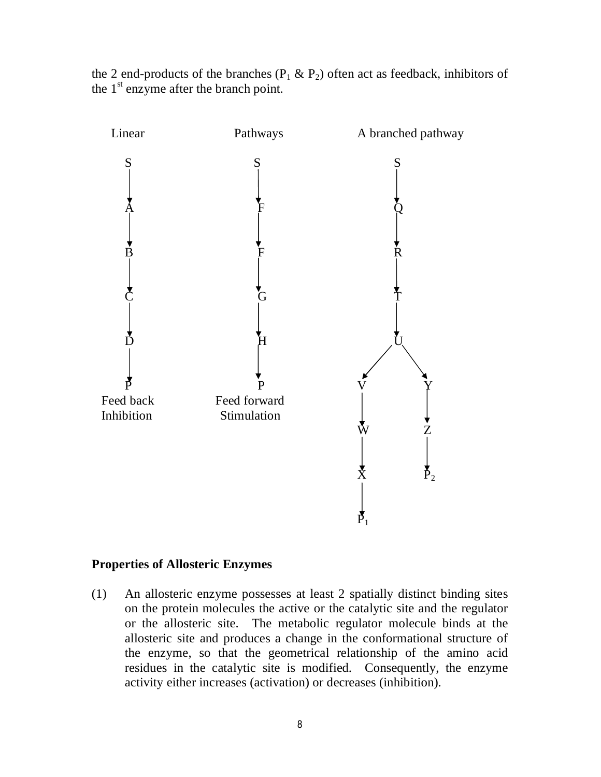

the 2 end-products of the branches ( $P_1 \& P_2$ ) often act as feedback, inhibitors of the  $1<sup>st</sup>$  enzyme after the branch point.

## **Properties of Allosteric Enzymes**

(1) An allosteric enzyme possesses at least 2 spatially distinct binding sites on the protein molecules the active or the catalytic site and the regulator or the allosteric site. The metabolic regulator molecule binds at the allosteric site and produces a change in the conformational structure of the enzyme, so that the geometrical relationship of the amino acid residues in the catalytic site is modified. Consequently, the enzyme activity either increases (activation) or decreases (inhibition).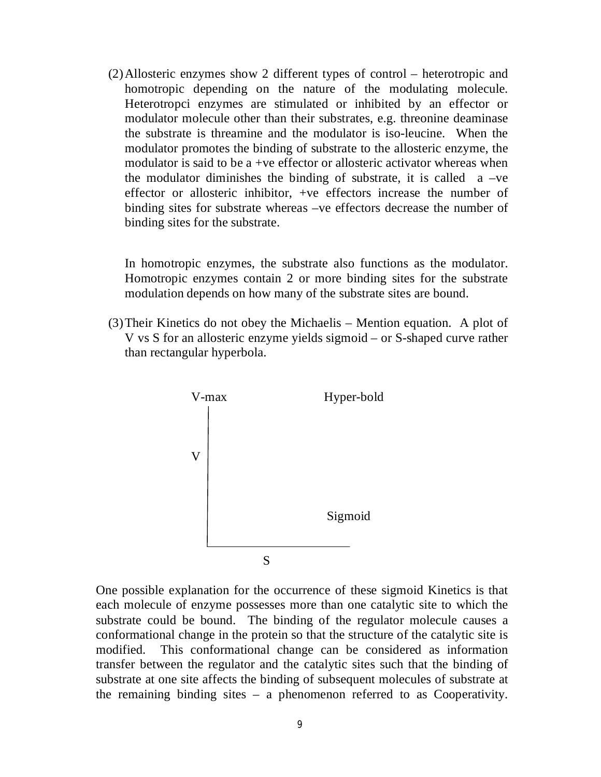(2)Allosteric enzymes show 2 different types of control – heterotropic and homotropic depending on the nature of the modulating molecule. Heterotropci enzymes are stimulated or inhibited by an effector or modulator molecule other than their substrates, e.g. threonine deaminase the substrate is threamine and the modulator is iso-leucine. When the modulator promotes the binding of substrate to the allosteric enzyme, the modulator is said to be a +ve effector or allosteric activator whereas when the modulator diminishes the binding of substrate, it is called  $a -ve$ effector or allosteric inhibitor, +ve effectors increase the number of binding sites for substrate whereas –ve effectors decrease the number of binding sites for the substrate.

In homotropic enzymes, the substrate also functions as the modulator. Homotropic enzymes contain 2 or more binding sites for the substrate modulation depends on how many of the substrate sites are bound.

(3)Their Kinetics do not obey the Michaelis – Mention equation. A plot of V vs S for an allosteric enzyme yields sigmoid – or S-shaped curve rather than rectangular hyperbola.



One possible explanation for the occurrence of these sigmoid Kinetics is that each molecule of enzyme possesses more than one catalytic site to which the substrate could be bound. The binding of the regulator molecule causes a conformational change in the protein so that the structure of the catalytic site is modified. This conformational change can be considered as information transfer between the regulator and the catalytic sites such that the binding of substrate at one site affects the binding of subsequent molecules of substrate at the remaining binding sites – a phenomenon referred to as Cooperativity.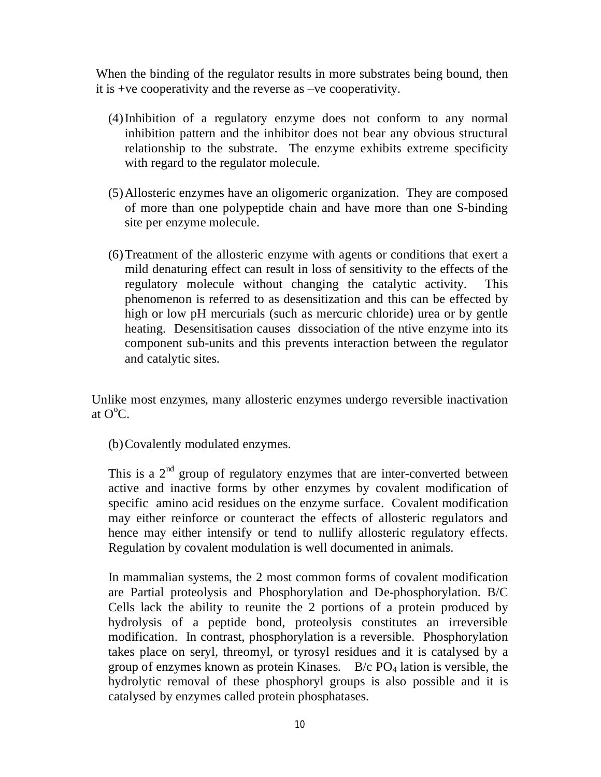When the binding of the regulator results in more substrates being bound, then it is +ve cooperativity and the reverse as –ve cooperativity.

- (4)Inhibition of a regulatory enzyme does not conform to any normal inhibition pattern and the inhibitor does not bear any obvious structural relationship to the substrate. The enzyme exhibits extreme specificity with regard to the regulator molecule.
- (5)Allosteric enzymes have an oligomeric organization. They are composed of more than one polypeptide chain and have more than one S-binding site per enzyme molecule.
- (6)Treatment of the allosteric enzyme with agents or conditions that exert a mild denaturing effect can result in loss of sensitivity to the effects of the regulatory molecule without changing the catalytic activity. This phenomenon is referred to as desensitization and this can be effected by high or low pH mercurials (such as mercuric chloride) urea or by gentle heating. Desensitisation causes dissociation of the ntive enzyme into its component sub-units and this prevents interaction between the regulator and catalytic sites.

Unlike most enzymes, many allosteric enzymes undergo reversible inactivation at  $O^{\circ}C$ .

(b)Covalently modulated enzymes.

This is a  $2<sup>nd</sup>$  group of regulatory enzymes that are inter-converted between active and inactive forms by other enzymes by covalent modification of specific amino acid residues on the enzyme surface. Covalent modification may either reinforce or counteract the effects of allosteric regulators and hence may either intensify or tend to nullify allosteric regulatory effects. Regulation by covalent modulation is well documented in animals.

In mammalian systems, the 2 most common forms of covalent modification are Partial proteolysis and Phosphorylation and De-phosphorylation. B/C Cells lack the ability to reunite the 2 portions of a protein produced by hydrolysis of a peptide bond, proteolysis constitutes an irreversible modification. In contrast, phosphorylation is a reversible. Phosphorylation takes place on seryl, threomyl, or tyrosyl residues and it is catalysed by a group of enzymes known as protein Kinases.  $B/c PO<sub>4</sub>$  lation is versible, the hydrolytic removal of these phosphoryl groups is also possible and it is catalysed by enzymes called protein phosphatases.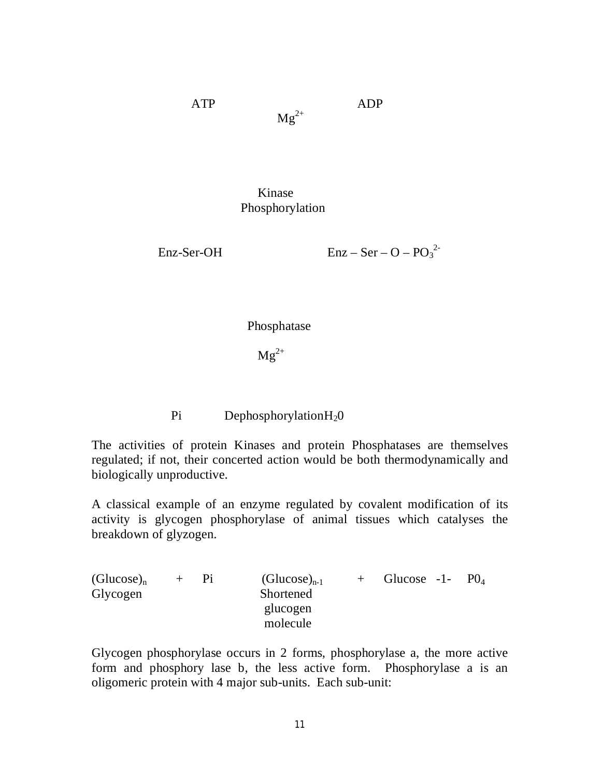ATP ADP

 $Mg^{2+}$ 

Kinase Phosphorylation

Enz-Ser-OH  $\text{Enz} - \text{Ser} - \text{O} - \text{PO}_3^2$ 

Phosphatase

 $Mg^{2+}$ 

Pi DephosphorylationH<sub>2</sub>0

The activities of protein Kinases and protein Phosphatases are themselves regulated; if not, their concerted action would be both thermodynamically and biologically unproductive.

A classical example of an enzyme regulated by covalent modification of its activity is glycogen phosphorylase of animal tissues which catalyses the breakdown of glyzogen.

 $(Glucose)_n$  + Pi  $(Glucose)_{n-1}$  + Glucose -1- PO<sub>4</sub> Glycogen Shortened glucogen molecule

Glycogen phosphorylase occurs in 2 forms, phosphorylase a, the more active form and phosphory lase b, the less active form. Phosphorylase a is an oligomeric protein with 4 major sub-units. Each sub-unit: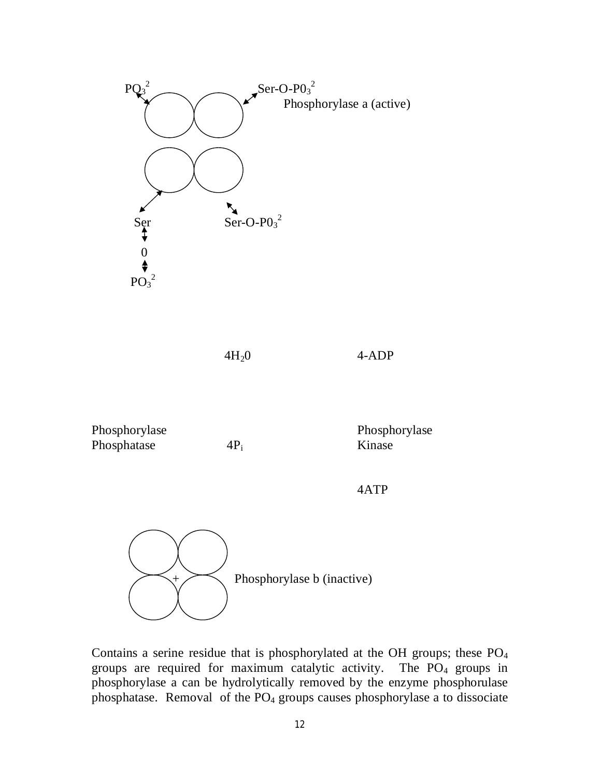

 $4H<sub>2</sub>0$  4-ADP

| Phosphorylase |  |
|---------------|--|
| Phosphatase   |  |

Phosphorylase Phosphorylase  $4P_i$  Kinase

4ATP



Contains a serine residue that is phosphorylated at the OH groups; these  $PO<sub>4</sub>$ groups are required for maximum catalytic activity. The  $PO<sub>4</sub>$  groups in phosphorylase a can be hydrolytically removed by the enzyme phosphorulase phosphatase. Removal of the  $PO<sub>4</sub>$  groups causes phosphorylase a to dissociate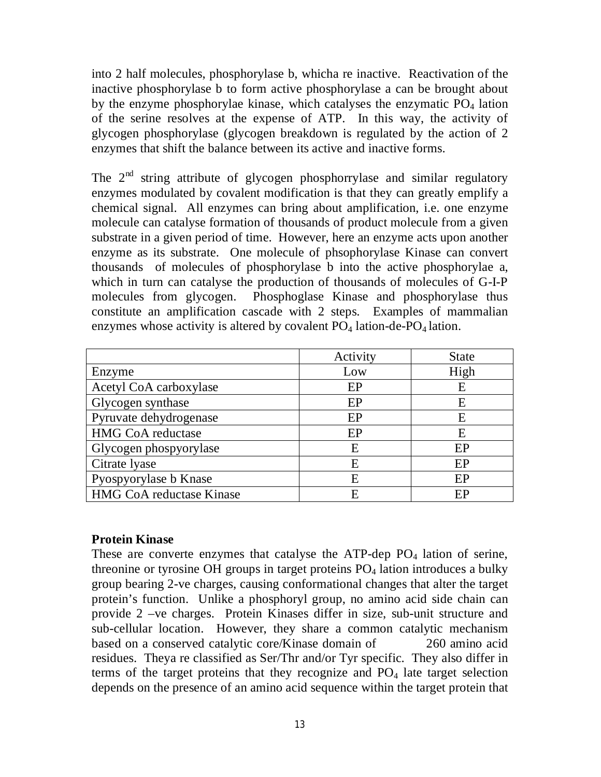into 2 half molecules, phosphorylase b, whicha re inactive. Reactivation of the inactive phosphorylase b to form active phosphorylase a can be brought about by the enzyme phosphorylae kinase, which catalyses the enzymatic  $PO<sub>4</sub>$  lation of the serine resolves at the expense of ATP. In this way, the activity of glycogen phosphorylase (glycogen breakdown is regulated by the action of 2 enzymes that shift the balance between its active and inactive forms.

The  $2<sup>nd</sup>$  string attribute of glycogen phosphorrylase and similar regulatory enzymes modulated by covalent modification is that they can greatly emplify a chemical signal. All enzymes can bring about amplification, i.e. one enzyme molecule can catalyse formation of thousands of product molecule from a given substrate in a given period of time. However, here an enzyme acts upon another enzyme as its substrate. One molecule of phsophorylase Kinase can convert thousands of molecules of phosphorylase b into the active phosphorylae a, which in turn can catalyse the production of thousands of molecules of G-I-P molecules from glycogen. Phosphoglase Kinase and phosphorylase thus constitute an amplification cascade with 2 steps. Examples of mammalian enzymes whose activity is altered by covalent  $PO_4$  lation-de- $PO_4$  lation.

|                          | Activity | <b>State</b> |
|--------------------------|----------|--------------|
| Enzyme                   | Low      | High         |
| Acetyl CoA carboxylase   | EP       | E            |
| Glycogen synthase        | EP       | E            |
| Pyruvate dehydrogenase   | EP       | E            |
| <b>HMG CoA reductase</b> | EP       | E            |
| Glycogen phospyorylase   | E        | EP           |
| Citrate lyase            | E        | EP           |
| Pyospyorylase b Knase    | E        | EP           |
| HMG CoA reductase Kinase | F        | EP           |

### **Protein Kinase**

These are converte enzymes that catalyse the ATP-dep  $PO<sub>4</sub>$  lation of serine, threonine or tyrosine OH groups in target proteins PO<sub>4</sub> lation introduces a bulky group bearing 2-ve charges, causing conformational changes that alter the target protein's function. Unlike a phosphoryl group, no amino acid side chain can provide 2 –ve charges. Protein Kinases differ in size, sub-unit structure and sub-cellular location. However, they share a common catalytic mechanism based on a conserved catalytic core/Kinase domain of 260 amino acid residues. Theya re classified as Ser/Thr and/or Tyr specific. They also differ in terms of the target proteins that they recognize and  $PO<sub>4</sub>$  late target selection depends on the presence of an amino acid sequence within the target protein that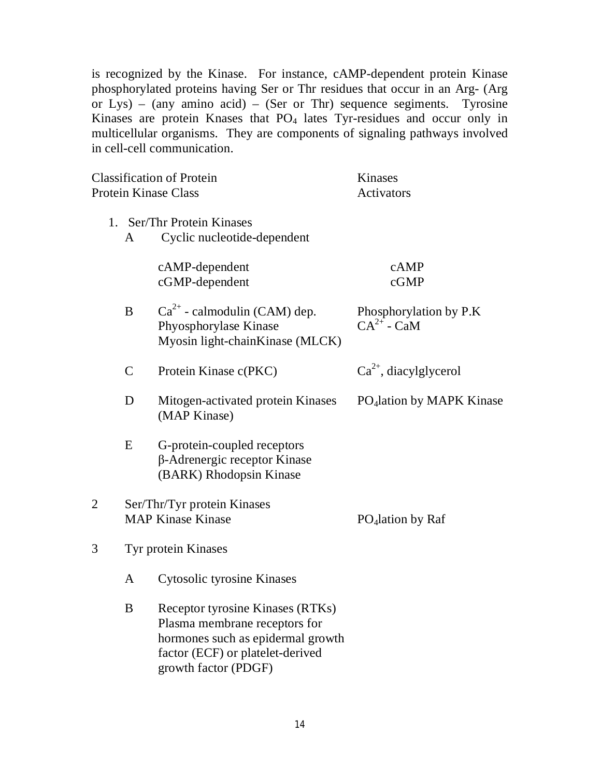is recognized by the Kinase. For instance, cAMP-dependent protein Kinase phosphorylated proteins having Ser or Thr residues that occur in an Arg- (Arg or Lys) – (any amino acid) – (Ser or Thr) sequence segiments. Tyrosine Kinases are protein Knases that  $PO<sub>4</sub>$  lates Tyr-residues and occur only in multicellular organisms. They are components of signaling pathways involved in cell-cell communication.

| <b>Classification of Protein</b><br><b>Protein Kinase Class</b> |                                                         |                                                                                                                                            | Kinases<br><b>Activators</b>              |  |
|-----------------------------------------------------------------|---------------------------------------------------------|--------------------------------------------------------------------------------------------------------------------------------------------|-------------------------------------------|--|
|                                                                 |                                                         |                                                                                                                                            |                                           |  |
|                                                                 | A                                                       | 1. Ser/Thr Protein Kinases<br>Cyclic nucleotide-dependent                                                                                  |                                           |  |
|                                                                 |                                                         | cAMP-dependent<br>cGMP-dependent                                                                                                           | cAMP<br>cGMP                              |  |
|                                                                 | B                                                       | $Ca^{2+}$ - calmodulin (CAM) dep.<br>Phyosphorylase Kinase<br>Myosin light-chainKinase (MLCK)                                              | Phosphorylation by P.K<br>$CA^{2+}$ - CaM |  |
|                                                                 | $\mathsf{C}$                                            | Protein Kinase c(PKC)                                                                                                                      | $Ca^{2+}$ , diacylglycerol                |  |
|                                                                 | D                                                       | Mitogen-activated protein Kinases<br>(MAP Kinase)                                                                                          | PO <sub>4</sub> lation by MAPK Kinase     |  |
|                                                                 | E                                                       | G-protein-coupled receptors<br>β-Adrenergic receptor Kinase<br>(BARK) Rhodopsin Kinase                                                     |                                           |  |
| $\overline{2}$                                                  | Ser/Thr/Tyr protein Kinases<br><b>MAP Kinase Kinase</b> |                                                                                                                                            | PO <sub>4</sub> lation by Raf             |  |
| 3                                                               | Tyr protein Kinases                                     |                                                                                                                                            |                                           |  |
|                                                                 | $\mathbf{A}$                                            | Cytosolic tyrosine Kinases                                                                                                                 |                                           |  |
|                                                                 | B                                                       | Receptor tyrosine Kinases (RTKs)<br>Plasma membrane receptors for<br>hormones such as epidermal growth<br>factor (ECF) or platelet-derived |                                           |  |

growth factor (PDGF)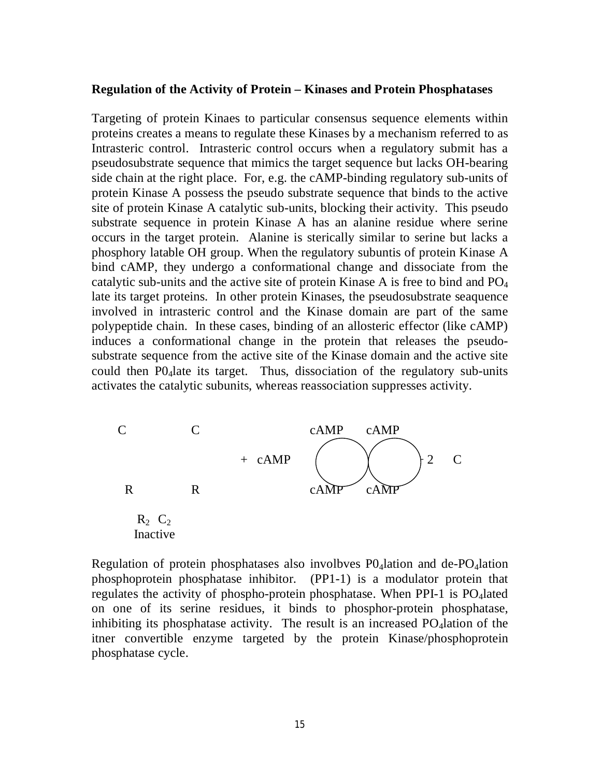#### **Regulation of the Activity of Protein – Kinases and Protein Phosphatases**

Targeting of protein Kinaes to particular consensus sequence elements within proteins creates a means to regulate these Kinases by a mechanism referred to as Intrasteric control. Intrasteric control occurs when a regulatory submit has a pseudosubstrate sequence that mimics the target sequence but lacks OH-bearing side chain at the right place. For, e.g. the cAMP-binding regulatory sub-units of protein Kinase A possess the pseudo substrate sequence that binds to the active site of protein Kinase A catalytic sub-units, blocking their activity. This pseudo substrate sequence in protein Kinase A has an alanine residue where serine occurs in the target protein. Alanine is sterically similar to serine but lacks a phosphory latable OH group. When the regulatory subuntis of protein Kinase A bind cAMP, they undergo a conformational change and dissociate from the catalytic sub-units and the active site of protein Kinase A is free to bind and  $PO<sub>4</sub>$ late its target proteins. In other protein Kinases, the pseudosubstrate seaquence involved in intrasteric control and the Kinase domain are part of the same polypeptide chain. In these cases, binding of an allosteric effector (like cAMP) induces a conformational change in the protein that releases the pseudosubstrate sequence from the active site of the Kinase domain and the active site could then P04late its target. Thus, dissociation of the regulatory sub-units activates the catalytic subunits, whereas reassociation suppresses activity.



Regulation of protein phosphatases also involbves  $P0_4$ lation and de-PO<sub>4</sub>lation phosphoprotein phosphatase inhibitor. (PP1-1) is a modulator protein that regulates the activity of phospho-protein phosphatase. When PPI-1 is PO4lated on one of its serine residues, it binds to phosphor-protein phosphatase, inhibiting its phosphatase activity. The result is an increased  $PO<sub>4</sub>$ lation of the itner convertible enzyme targeted by the protein Kinase/phosphoprotein phosphatase cycle.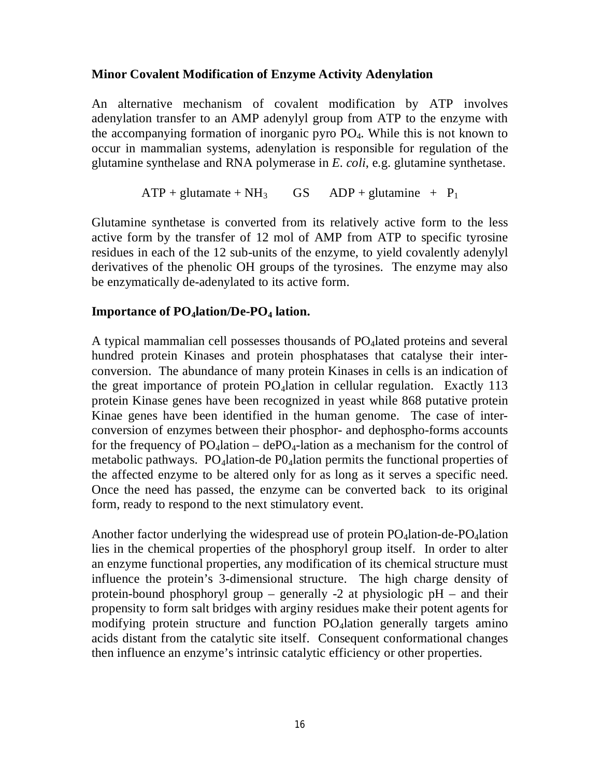## **Minor Covalent Modification of Enzyme Activity Adenylation**

An alternative mechanism of covalent modification by ATP involves adenylation transfer to an AMP adenylyl group from ATP to the enzyme with the accompanying formation of inorganic pyro PO4. While this is not known to occur in mammalian systems, adenylation is responsible for regulation of the glutamine synthelase and RNA polymerase in *E. coli*, e.g. glutamine synthetase.

$$
ATP + glutamate + NH_3
$$
  $GS$   $ADP + glutamine + P_1$ 

Glutamine synthetase is converted from its relatively active form to the less active form by the transfer of 12 mol of AMP from ATP to specific tyrosine residues in each of the 12 sub-units of the enzyme, to yield covalently adenylyl derivatives of the phenolic OH groups of the tyrosines. The enzyme may also be enzymatically de-adenylated to its active form.

### **Importance of PO4lation/De-PO<sup>4</sup> lation.**

A typical mammalian cell possesses thousands of PO<sub>4</sub>lated proteins and several hundred protein Kinases and protein phosphatases that catalyse their interconversion. The abundance of many protein Kinases in cells is an indication of the great importance of protein  $PO_4$ lation in cellular regulation. Exactly 113 protein Kinase genes have been recognized in yeast while 868 putative protein Kinae genes have been identified in the human genome. The case of interconversion of enzymes between their phosphor- and dephospho-forms accounts for the frequency of  $PO_4$ lation – de $PO_4$ -lation as a mechanism for the control of metabolic pathways. PO<sub>4</sub>lation-de PO<sub>4</sub>lation permits the functional properties of the affected enzyme to be altered only for as long as it serves a specific need. Once the need has passed, the enzyme can be converted back to its original form, ready to respond to the next stimulatory event.

Another factor underlying the widespread use of protein  $PO<sub>4</sub>$ lation-de- $PO<sub>4</sub>$ lation lies in the chemical properties of the phosphoryl group itself. In order to alter an enzyme functional properties, any modification of its chemical structure must influence the protein's 3-dimensional structure. The high charge density of protein-bound phosphoryl group – generally -2 at physiologic pH – and their propensity to form salt bridges with arginy residues make their potent agents for modifying protein structure and function PO4lation generally targets amino acids distant from the catalytic site itself. Consequent conformational changes then influence an enzyme's intrinsic catalytic efficiency or other properties.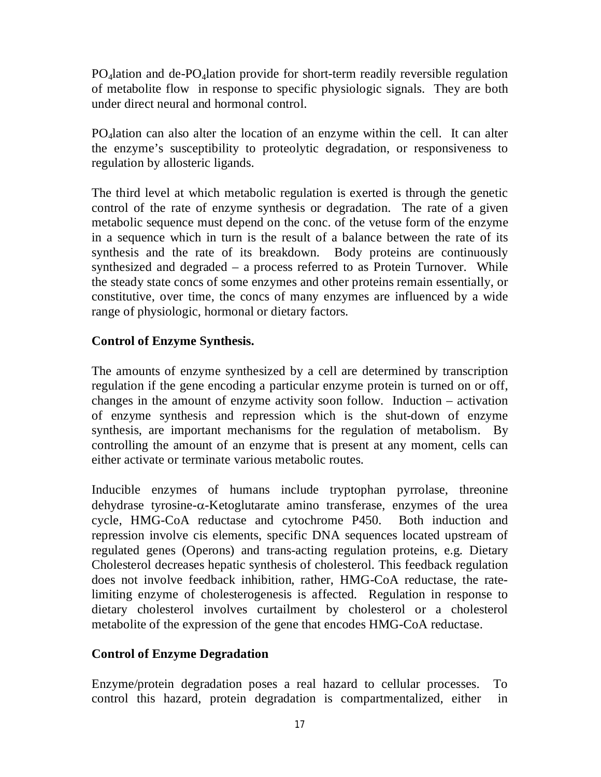PO<sub>4</sub>lation and de-PO<sub>4</sub>lation provide for short-term readily reversible regulation of metabolite flow in response to specific physiologic signals. They are both under direct neural and hormonal control.

PO4lation can also alter the location of an enzyme within the cell. It can alter the enzyme's susceptibility to proteolytic degradation, or responsiveness to regulation by allosteric ligands.

The third level at which metabolic regulation is exerted is through the genetic control of the rate of enzyme synthesis or degradation. The rate of a given metabolic sequence must depend on the conc. of the vetuse form of the enzyme in a sequence which in turn is the result of a balance between the rate of its synthesis and the rate of its breakdown. Body proteins are continuously synthesized and degraded – a process referred to as Protein Turnover. While the steady state concs of some enzymes and other proteins remain essentially, or constitutive, over time, the concs of many enzymes are influenced by a wide range of physiologic, hormonal or dietary factors.

# **Control of Enzyme Synthesis.**

The amounts of enzyme synthesized by a cell are determined by transcription regulation if the gene encoding a particular enzyme protein is turned on or off, changes in the amount of enzyme activity soon follow. Induction – activation of enzyme synthesis and repression which is the shut-down of enzyme synthesis, are important mechanisms for the regulation of metabolism. By controlling the amount of an enzyme that is present at any moment, cells can either activate or terminate various metabolic routes.

Inducible enzymes of humans include tryptophan pyrrolase, threonine dehydrase tyrosine- $\alpha$ -Ketoglutarate amino transferase, enzymes of the urea cycle, HMG-CoA reductase and cytochrome P450. Both induction and repression involve cis elements, specific DNA sequences located upstream of regulated genes (Operons) and trans-acting regulation proteins, e.g. Dietary Cholesterol decreases hepatic synthesis of cholesterol. This feedback regulation does not involve feedback inhibition, rather, HMG-CoA reductase, the ratelimiting enzyme of cholesterogenesis is affected. Regulation in response to dietary cholesterol involves curtailment by cholesterol or a cholesterol metabolite of the expression of the gene that encodes HMG-CoA reductase.

# **Control of Enzyme Degradation**

Enzyme/protein degradation poses a real hazard to cellular processes. To control this hazard, protein degradation is compartmentalized, either in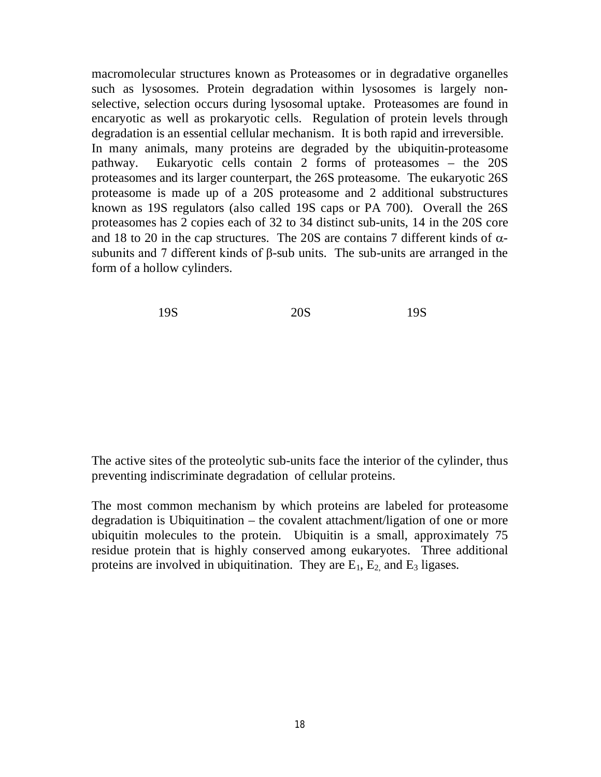macromolecular structures known as Proteasomes or in degradative organelles such as lysosomes. Protein degradation within lysosomes is largely nonselective, selection occurs during lysosomal uptake. Proteasomes are found in encaryotic as well as prokaryotic cells. Regulation of protein levels through degradation is an essential cellular mechanism. It is both rapid and irreversible. In many animals, many proteins are degraded by the ubiquitin-proteasome pathway. Eukaryotic cells contain 2 forms of proteasomes – the 20S proteasomes and its larger counterpart, the 26S proteasome. The eukaryotic 26S proteasome is made up of a 20S proteasome and 2 additional substructures known as 19S regulators (also called 19S caps or PA 700). Overall the 26S proteasomes has 2 copies each of 32 to 34 distinct sub-units, 14 in the 20S core and 18 to 20 in the cap structures. The 20S are contains 7 different kinds of  $\alpha$ subunits and 7 different kinds of β-sub units. The sub-units are arranged in the form of a hollow cylinders.

| 19S | 20S | 19S |
|-----|-----|-----|
|     |     |     |

The active sites of the proteolytic sub-units face the interior of the cylinder, thus preventing indiscriminate degradation of cellular proteins.

The most common mechanism by which proteins are labeled for proteasome degradation is Ubiquitination – the covalent attachment/ligation of one or more ubiquitin molecules to the protein. Ubiquitin is a small, approximately 75 residue protein that is highly conserved among eukaryotes. Three additional proteins are involved in ubiquitination. They are  $E_1$ ,  $E_2$ , and  $E_3$  ligases.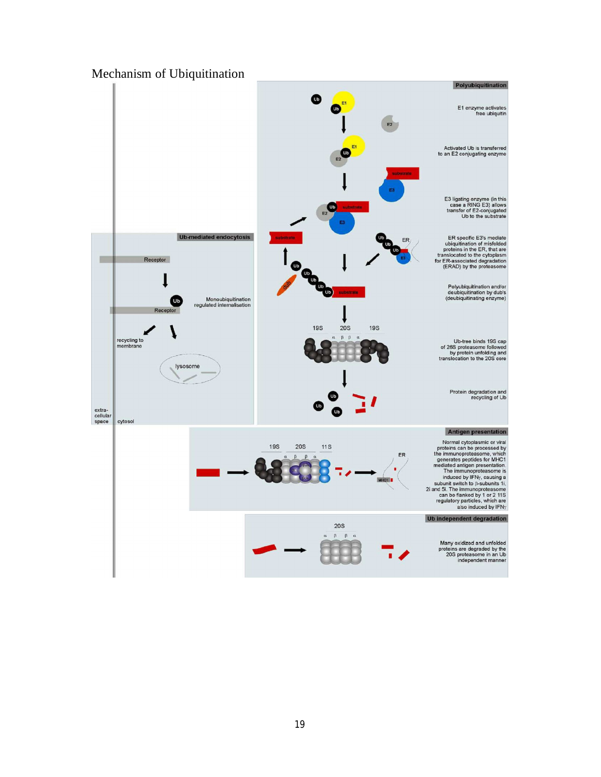## Mechanism of Ubiquitination

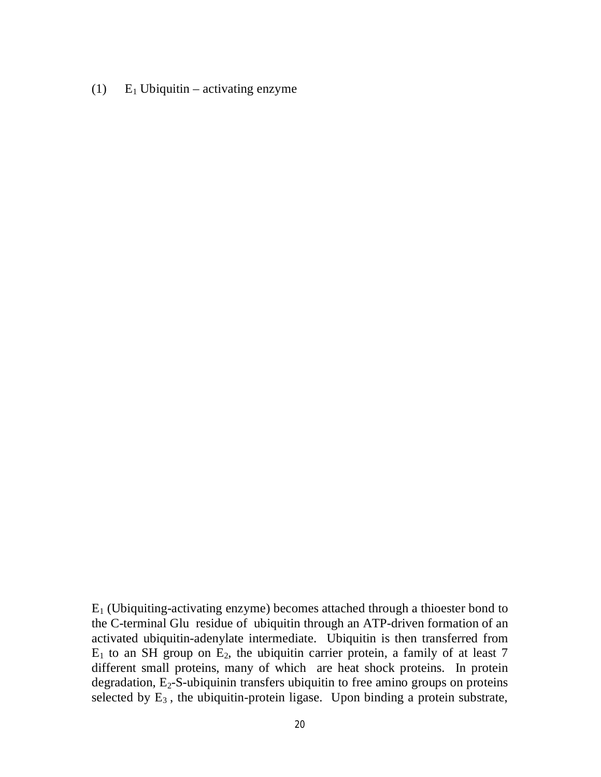(1)  $E_1$  Ubiquitin – activating enzyme

 $E_1$  (Ubiquiting-activating enzyme) becomes attached through a thioester bond to the C-terminal Glu residue of ubiquitin through an ATP-driven formation of an activated ubiquitin-adenylate intermediate. Ubiquitin is then transferred from  $E_1$  to an SH group on  $E_2$ , the ubiquitin carrier protein, a family of at least 7 different small proteins, many of which are heat shock proteins. In protein degradation,  $E_2$ -S-ubiquinin transfers ubiquitin to free amino groups on proteins selected by  $E_3$ , the ubiquitin-protein ligase. Upon binding a protein substrate,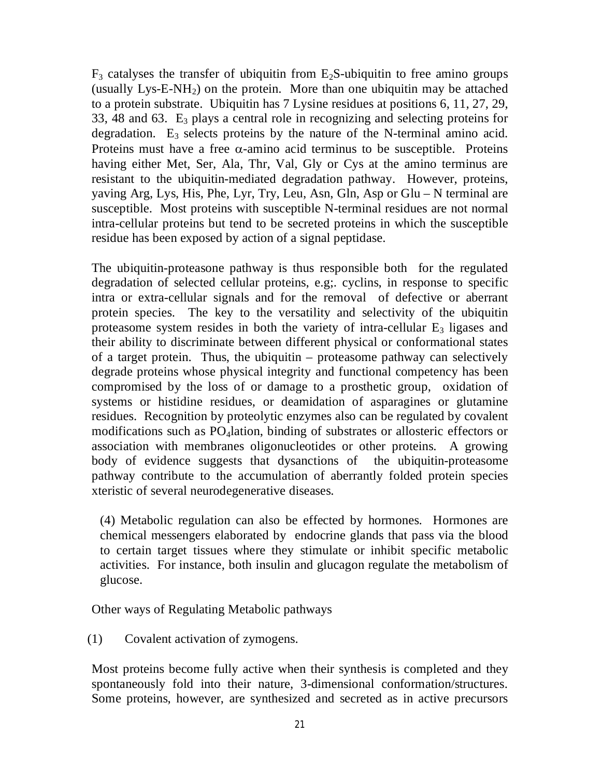$F_3$  catalyses the transfer of ubiquitin from  $E_2S$ -ubiquitin to free amino groups (usually  $Lys-E-NH_2$ ) on the protein. More than one ubiquitin may be attached to a protein substrate. Ubiquitin has 7 Lysine residues at positions 6, 11, 27, 29, 33, 48 and 63.  $E_3$  plays a central role in recognizing and selecting proteins for degradation.  $E_3$  selects proteins by the nature of the N-terminal amino acid. Proteins must have a free  $\alpha$ -amino acid terminus to be susceptible. Proteins having either Met, Ser, Ala, Thr, Val, Gly or Cys at the amino terminus are resistant to the ubiquitin-mediated degradation pathway. However, proteins, yaving Arg, Lys, His, Phe, Lyr, Try, Leu, Asn, Gln, Asp or Glu – N terminal are susceptible. Most proteins with susceptible N-terminal residues are not normal intra-cellular proteins but tend to be secreted proteins in which the susceptible residue has been exposed by action of a signal peptidase.

The ubiquitin-proteasone pathway is thus responsible both for the regulated degradation of selected cellular proteins, e.g;. cyclins, in response to specific intra or extra-cellular signals and for the removal of defective or aberrant protein species. The key to the versatility and selectivity of the ubiquitin proteasome system resides in both the variety of intra-cellular  $E_3$  ligases and their ability to discriminate between different physical or conformational states of a target protein. Thus, the ubiquitin – proteasome pathway can selectively degrade proteins whose physical integrity and functional competency has been compromised by the loss of or damage to a prosthetic group, oxidation of systems or histidine residues, or deamidation of asparagines or glutamine residues. Recognition by proteolytic enzymes also can be regulated by covalent modifications such as PO<sub>4</sub>lation, binding of substrates or allosteric effectors or association with membranes oligonucleotides or other proteins. A growing body of evidence suggests that dysanctions of the ubiquitin-proteasome pathway contribute to the accumulation of aberrantly folded protein species xteristic of several neurodegenerative diseases.

(4) Metabolic regulation can also be effected by hormones. Hormones are chemical messengers elaborated by endocrine glands that pass via the blood to certain target tissues where they stimulate or inhibit specific metabolic activities. For instance, both insulin and glucagon regulate the metabolism of glucose.

Other ways of Regulating Metabolic pathways

(1) Covalent activation of zymogens.

Most proteins become fully active when their synthesis is completed and they spontaneously fold into their nature, 3-dimensional conformation/structures. Some proteins, however, are synthesized and secreted as in active precursors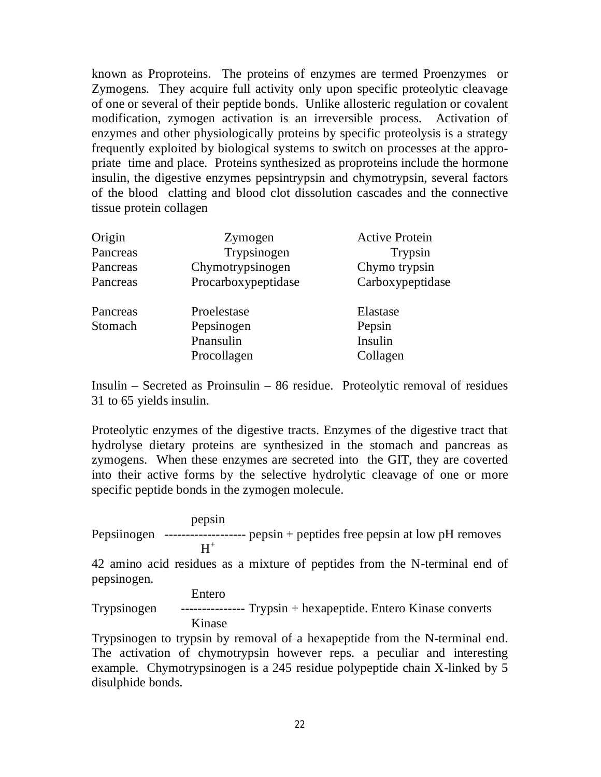known as Proproteins. The proteins of enzymes are termed Proenzymes or Zymogens. They acquire full activity only upon specific proteolytic cleavage of one or several of their peptide bonds. Unlike allosteric regulation or covalent modification, zymogen activation is an irreversible process. Activation of enzymes and other physiologically proteins by specific proteolysis is a strategy frequently exploited by biological systems to switch on processes at the appropriate time and place. Proteins synthesized as proproteins include the hormone insulin, the digestive enzymes pepsintrypsin and chymotrypsin, several factors of the blood clatting and blood clot dissolution cascades and the connective tissue protein collagen

| Origin<br>Pancreas<br>Pancreas | Zymogen<br>Trypsinogen<br>Chymotrypsinogen            | <b>Active Protein</b><br>Trypsin<br>Chymo trypsin |
|--------------------------------|-------------------------------------------------------|---------------------------------------------------|
| Pancreas                       | Procarboxypeptidase                                   | Carboxypeptidase                                  |
| Pancreas<br>Stomach            | Proelestase<br>Pepsinogen<br>Pnansulin<br>Procollagen | Elastase<br>Pepsin<br>Insulin<br>Collagen         |

Insulin – Secreted as Proinsulin – 86 residue. Proteolytic removal of residues 31 to 65 yields insulin.

Proteolytic enzymes of the digestive tracts. Enzymes of the digestive tract that hydrolyse dietary proteins are synthesized in the stomach and pancreas as zymogens. When these enzymes are secreted into the GIT, they are coverted into their active forms by the selective hydrolytic cleavage of one or more specific peptide bonds in the zymogen molecule.

#### pepsin

Pepsiinogen ------------------- pepsin + peptides free pepsin at low pH removes  $\mathrm{H}^+$ 

42 amino acid residues as a mixture of peptides from the N-terminal end of pepsinogen.

#### Entero

Trypsinogen --------------- Trypsin + hexapeptide. Entero Kinase converts Kinase

Trypsinogen to trypsin by removal of a hexapeptide from the N-terminal end. The activation of chymotrypsin however reps. a peculiar and interesting example. Chymotrypsinogen is a 245 residue polypeptide chain X-linked by 5 disulphide bonds.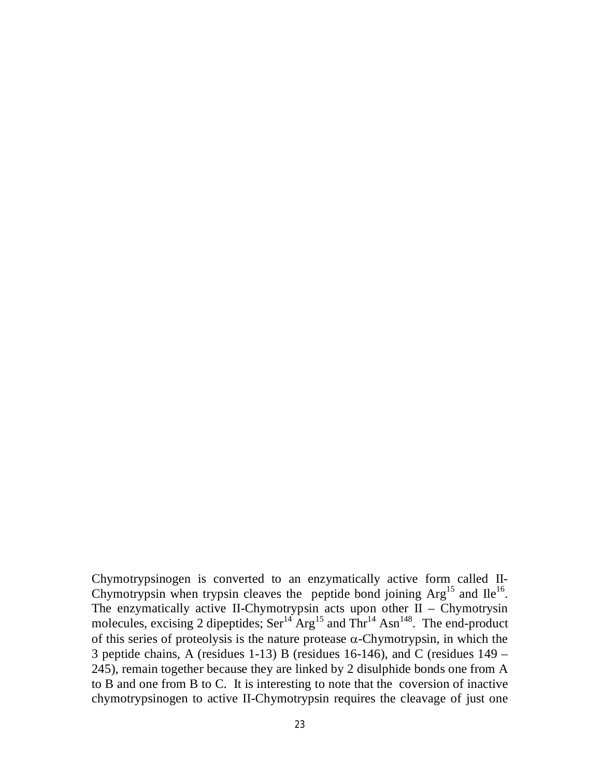Chymotrypsinogen is converted to an enzymatically active form called II-Chymotrypsin when trypsin cleaves the peptide bond joining  $Arg<sup>15</sup>$  and  $Ile<sup>16</sup>$ . The enzymatically active II-Chymotrypsin acts upon other  $II$  – Chymotrysin molecules, excising 2 dipeptides;  $\text{Ser}^{14} \text{Arg}^{15}$  and  $\text{Thr}^{14} \text{Asn}^{148}$ . The end-product of this series of proteolysis is the nature protease  $\alpha$ -Chymotrypsin, in which the 3 peptide chains, A (residues 1-13) B (residues 16-146), and C (residues 149 – 245), remain together because they are linked by 2 disulphide bonds one from A to B and one from B to C. It is interesting to note that the coversion of inactive chymotrypsinogen to active II-Chymotrypsin requires the cleavage of just one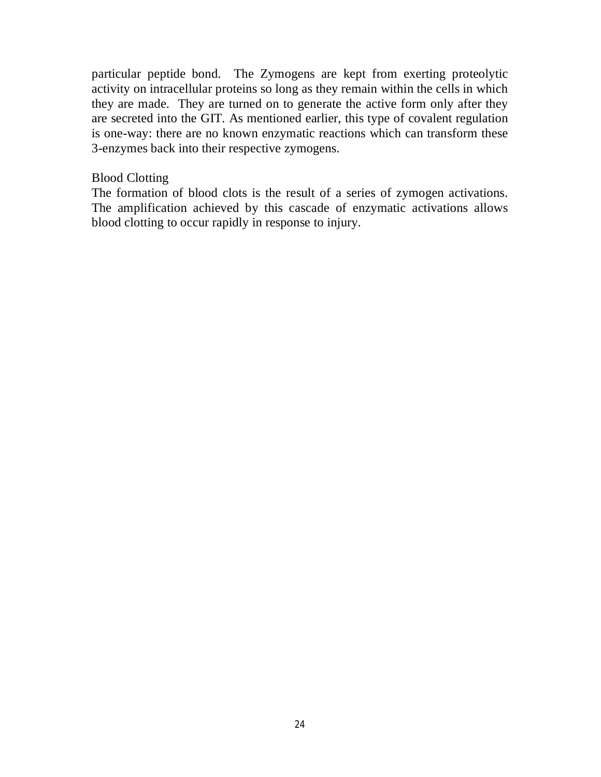particular peptide bond. The Zymogens are kept from exerting proteolytic activity on intracellular proteins so long as they remain within the cells in which they are made. They are turned on to generate the active form only after they are secreted into the GIT. As mentioned earlier, this type of covalent regulation is one-way: there are no known enzymatic reactions which can transform these 3-enzymes back into their respective zymogens.

### Blood Clotting

The formation of blood clots is the result of a series of zymogen activations. The amplification achieved by this cascade of enzymatic activations allows blood clotting to occur rapidly in response to injury.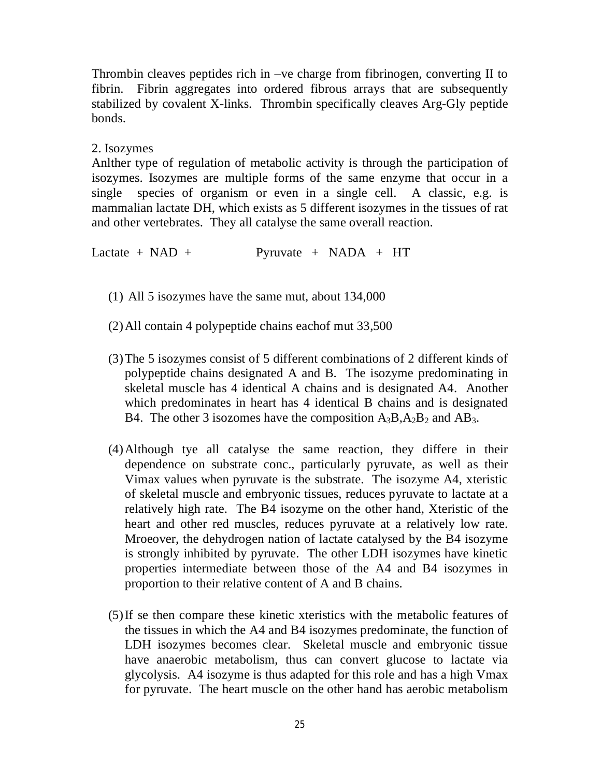Thrombin cleaves peptides rich in –ve charge from fibrinogen, converting II to fibrin. Fibrin aggregates into ordered fibrous arrays that are subsequently stabilized by covalent X-links. Thrombin specifically cleaves Arg-Gly peptide bonds.

## 2. Isozymes

Anlther type of regulation of metabolic activity is through the participation of isozymes. Isozymes are multiple forms of the same enzyme that occur in a single species of organism or even in a single cell. A classic, e.g. is mammalian lactate DH, which exists as 5 different isozymes in the tissues of rat and other vertebrates. They all catalyse the same overall reaction.

Lactate +  $NAD$  + Pyruvate +  $NADA$  + HT

- (1) All 5 isozymes have the same mut, about 134,000
- (2)All contain 4 polypeptide chains eachof mut 33,500
- (3)The 5 isozymes consist of 5 different combinations of 2 different kinds of polypeptide chains designated A and B. The isozyme predominating in skeletal muscle has 4 identical A chains and is designated A4. Another which predominates in heart has 4 identical B chains and is designated B4. The other 3 isozomes have the composition  $A_3B$ ,  $A_2B_2$  and  $AB_3$ .
- (4)Although tye all catalyse the same reaction, they differe in their dependence on substrate conc., particularly pyruvate, as well as their Vimax values when pyruvate is the substrate. The isozyme A4, xteristic of skeletal muscle and embryonic tissues, reduces pyruvate to lactate at a relatively high rate. The B4 isozyme on the other hand, Xteristic of the heart and other red muscles, reduces pyruvate at a relatively low rate. Mroeover, the dehydrogen nation of lactate catalysed by the B4 isozyme is strongly inhibited by pyruvate. The other LDH isozymes have kinetic properties intermediate between those of the A4 and B4 isozymes in proportion to their relative content of A and B chains.
- (5)If se then compare these kinetic xteristics with the metabolic features of the tissues in which the A4 and B4 isozymes predominate, the function of LDH isozymes becomes clear. Skeletal muscle and embryonic tissue have anaerobic metabolism, thus can convert glucose to lactate via glycolysis. A4 isozyme is thus adapted for this role and has a high Vmax for pyruvate. The heart muscle on the other hand has aerobic metabolism